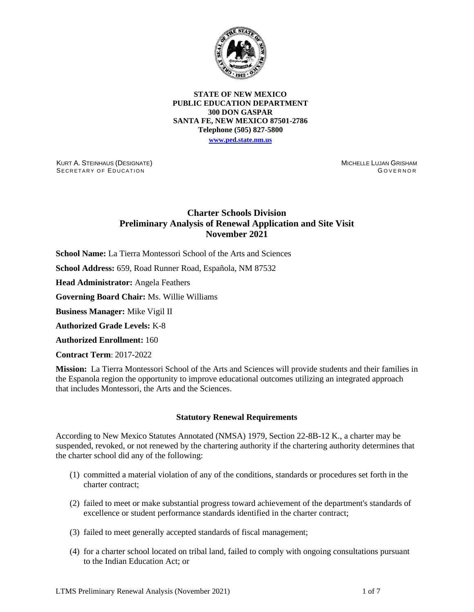

**STATE OF NEW MEXICO PUBLIC EDUCATION DEPARTMENT 300 DON GASPAR SANTA FE, NEW MEXICO 87501-2786 Telephone (505) 827-5800 [www.ped.state.nm.us](http://webnew.ped.state.nm.us/)**

KURT A. STEINHAUS (DESIGNATE) SECRETARY OF EDUCATION

MICHELLE LUJAN GRISHAM GOVERNOR

# **Charter Schools Division Preliminary Analysis of Renewal Application and Site Visit November 2021**

**School Name:** La Tierra Montessori School of the Arts and Sciences

**School Address:** 659, Road Runner Road, Española, NM 87532

**Head Administrator:** Angela Feathers

**Governing Board Chair:** Ms. Willie Williams

**Business Manager:** Mike Vigil II

**Authorized Grade Levels:** K-8

**Authorized Enrollment:** 160

**Contract Term**: 2017-2022

**Mission:** La Tierra Montessori School of the Arts and Sciences will provide students and their families in the Espanola region the opportunity to improve educational outcomes utilizing an integrated approach that includes Montessori, the Arts and the Sciences.

### **Statutory Renewal Requirements**

According to New Mexico Statutes Annotated (NMSA) 1979, Section 22-8B-12 K., a charter may be suspended, revoked, or not renewed by the chartering authority if the chartering authority determines that the charter school did any of the following:

- (1) committed a material violation of any of the conditions, standards or procedures set forth in the charter contract;
- (2) failed to meet or make substantial progress toward achievement of the department's standards of excellence or student performance standards identified in the charter contract;
- (3) failed to meet generally accepted standards of fiscal management;
- (4) for a charter school located on tribal land, failed to comply with ongoing consultations pursuant to the Indian Education Act; or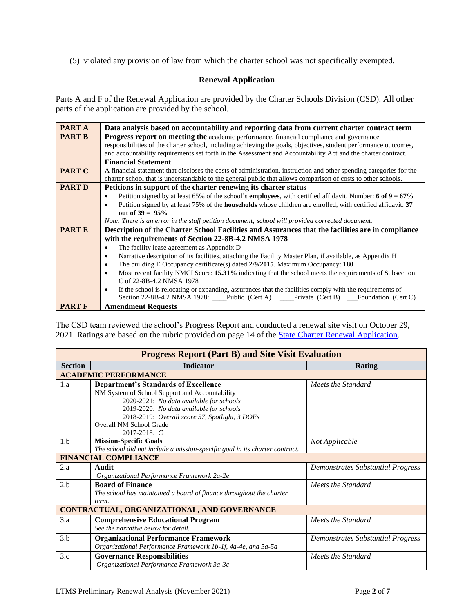(5) violated any provision of law from which the charter school was not specifically exempted.

# **Renewal Application**

Parts A and F of the Renewal Application are provided by the Charter Schools Division (CSD). All other parts of the application are provided by the school.

| PART A        | Data analysis based on accountability and reporting data from current charter contract term                                                |  |  |  |  |
|---------------|--------------------------------------------------------------------------------------------------------------------------------------------|--|--|--|--|
| <b>PART B</b> | <b>Progress report on meeting the academic performance, financial compliance and governance</b>                                            |  |  |  |  |
|               | responsibilities of the charter school, including achieving the goals, objectives, student performance outcomes,                           |  |  |  |  |
|               | and accountability requirements set forth in the Assessment and Accountability Act and the charter contract.                               |  |  |  |  |
|               | <b>Financial Statement</b>                                                                                                                 |  |  |  |  |
| <b>PART C</b> | A financial statement that discloses the costs of administration, instruction and other spending categories for the                        |  |  |  |  |
|               | charter school that is understandable to the general public that allows comparison of costs to other schools.                              |  |  |  |  |
| <b>PART D</b> | Petitions in support of the charter renewing its charter status                                                                            |  |  |  |  |
|               | Petition signed by at least 65% of the school's <b>employees</b> , with certified affidavit. Number: $6 \text{ of } 9 = 67\%$<br>$\bullet$ |  |  |  |  |
|               | Petition signed by at least 75% of the <b>households</b> whose children are enrolled, with certified affidavit. 37<br>$\bullet$            |  |  |  |  |
|               | out of $39 = 95%$                                                                                                                          |  |  |  |  |
|               | Note: There is an error in the staff petition document; school will provided corrected document.                                           |  |  |  |  |
| <b>PARTE</b>  | Description of the Charter School Facilities and Assurances that the facilities are in compliance                                          |  |  |  |  |
|               | with the requirements of Section 22-8B-4.2 NMSA 1978                                                                                       |  |  |  |  |
|               | The facility lease agreement as Appendix D<br>٠                                                                                            |  |  |  |  |
|               | Narrative description of its facilities, attaching the Facility Master Plan, if available, as Appendix H<br>٠                              |  |  |  |  |
|               | The building E Occupancy certificate(s) dated $2/9/2015$ . Maximum Occupancy: 180<br>$\bullet$                                             |  |  |  |  |
|               | Most recent facility NMCI Score: 15.31% indicating that the school meets the requirements of Subsection<br>$\bullet$                       |  |  |  |  |
|               | C of 22-8B-4.2 NMSA 1978                                                                                                                   |  |  |  |  |
|               | If the school is relocating or expanding, assurances that the facilities comply with the requirements of<br>$\bullet$                      |  |  |  |  |
|               | Section 22-8B-4.2 NMSA 1978:<br>Public (Cert A)<br>Private (Cert B)<br>Foundation (Cert C)                                                 |  |  |  |  |
| <b>PART F</b> | <b>Amendment Requests</b>                                                                                                                  |  |  |  |  |

The CSD team reviewed the school's Progress Report and conducted a renewal site visit on October 29, 2021. Ratings are based on the rubric provided on page 14 of the [State Charter Renewal Application.](https://webnew.ped.state.nm.us/bureaus/public-education-commission/policies-and-processes/renewal-application/)

| <b>Progress Report (Part B) and Site Visit Evaluation</b> |                                                                             |                                   |  |  |  |  |  |
|-----------------------------------------------------------|-----------------------------------------------------------------------------|-----------------------------------|--|--|--|--|--|
| <b>Section</b>                                            | <b>Indicator</b>                                                            | Rating                            |  |  |  |  |  |
|                                                           | <b>ACADEMIC PERFORMANCE</b>                                                 |                                   |  |  |  |  |  |
| 1.a                                                       | <b>Department's Standards of Excellence</b>                                 | Meets the Standard                |  |  |  |  |  |
|                                                           | NM System of School Support and Accountability                              |                                   |  |  |  |  |  |
|                                                           | 2020-2021: No data available for schools                                    |                                   |  |  |  |  |  |
|                                                           | 2019-2020: No data available for schools                                    |                                   |  |  |  |  |  |
|                                                           | 2018-2019: Overall score 57, Spotlight, 3 DOEs                              |                                   |  |  |  |  |  |
|                                                           | Overall NM School Grade                                                     |                                   |  |  |  |  |  |
|                                                           | $2017 - 2018$ : C                                                           |                                   |  |  |  |  |  |
| 1.b                                                       | <b>Mission-Specific Goals</b>                                               | Not Applicable                    |  |  |  |  |  |
|                                                           | The school did not include a mission-specific goal in its charter contract. |                                   |  |  |  |  |  |
|                                                           | <b>FINANCIAL COMPLIANCE</b>                                                 |                                   |  |  |  |  |  |
| 2.a                                                       | Audit                                                                       | Demonstrates Substantial Progress |  |  |  |  |  |
|                                                           | Organizational Performance Framework 2a-2e                                  |                                   |  |  |  |  |  |
| 2.b                                                       | <b>Board of Finance</b>                                                     | Meets the Standard                |  |  |  |  |  |
|                                                           | The school has maintained a board of finance throughout the charter         |                                   |  |  |  |  |  |
|                                                           | term.                                                                       |                                   |  |  |  |  |  |
|                                                           | CONTRACTUAL, ORGANIZATIONAL, AND GOVERNANCE                                 |                                   |  |  |  |  |  |
| 3.a                                                       | <b>Comprehensive Educational Program</b>                                    | Meets the Standard                |  |  |  |  |  |
|                                                           | See the narrative below for detail.                                         |                                   |  |  |  |  |  |
| 3.b                                                       | <b>Organizational Performance Framework</b>                                 | Demonstrates Substantial Progress |  |  |  |  |  |
|                                                           | Organizational Performance Framework 1b-1f, 4a-4e, and 5a-5d                |                                   |  |  |  |  |  |
| 3.c                                                       | <b>Governance Responsibilities</b>                                          | Meets the Standard                |  |  |  |  |  |
|                                                           | Organizational Performance Framework 3a-3c                                  |                                   |  |  |  |  |  |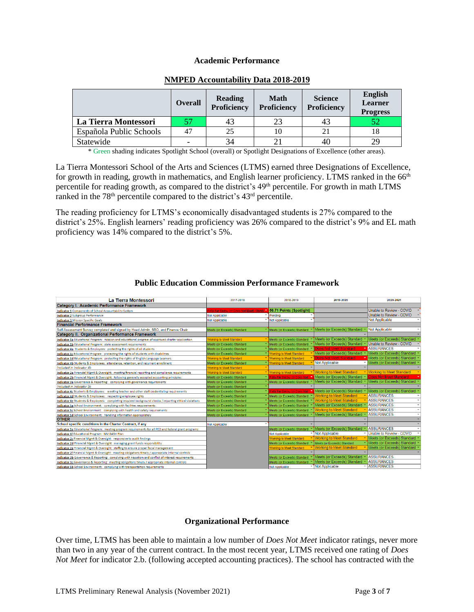### **Academic Performance**

|                         | <b>Overall</b>           | Reading<br>Proficiency | <b>Math</b><br>Proficiency | <b>Science</b><br><b>Proficiency</b> | <b>English</b><br><b>Learner</b><br><b>Progress</b> |
|-------------------------|--------------------------|------------------------|----------------------------|--------------------------------------|-----------------------------------------------------|
| La Tierra Montessori    | 57                       | 43                     | 23                         | 43                                   | 52                                                  |
| Española Public Schools | 47                       | 25                     | 10                         |                                      |                                                     |
| Statewide               | $\overline{\phantom{0}}$ | 34                     |                            | 40                                   | 29                                                  |

## **NMPED Accountability Data 2018-2019**

\* Green shading indicates Spotlight School (overall) or Spotlight Designations of Excellence (other areas).

La Tierra Montessori School of the Arts and Sciences (LTMS) earned three Designations of Excellence, for growth in reading, growth in mathematics, and English learner proficiency. LTMS ranked in the 66<sup>th</sup> percentile for reading growth, as compared to the district's 49<sup>th</sup> percentile. For growth in math LTMS ranked in the 78<sup>th</sup> percentile compared to the district's 43<sup>rd</sup> percentile.

The reading proficiency for LTMS's economically disadvantaged students is 27% compared to the district's 25%. English learners' reading proficiency was 26% compared to the district's 9% and EL math proficiency was 14% compared to the district's 5%.

| La Tierra Montessori                                                                                    | 2017-2018                                | 2018-2019                       | 2019-2020                       | 2020-2021                                     |
|---------------------------------------------------------------------------------------------------------|------------------------------------------|---------------------------------|---------------------------------|-----------------------------------------------|
| Category I. Academic Performance Framework                                                              |                                          |                                 |                                 |                                               |
| Indicator 1 Components of School Accountability System                                                  | alls Far Below (or Does Not Meet) Stand: | 56.71 Points (Spotlight)        |                                 | Unable to Review - COVID                      |
| <b>Indicator 2 Subgroup Performance</b>                                                                 | <b>Not Applicable</b>                    | Pending                         |                                 | Unable to Review - COVID                      |
| <b>Indicator 3 Mission Specific Goals</b>                                                               | Not Applicable                           | Not Applicable<br>٠             |                                 | Not Applicable                                |
| <b>Financial Performance Framework</b>                                                                  |                                          |                                 |                                 |                                               |
| Self-Assessment Survey completed and signed by Head Admin, SBO, and Finance Chair                       | Meets (or Exceeds) Standard              | Meets (or Exceeds) Standard     | Meets (or Exceeds) Standard     | Not Applicable                                |
| <b>Category II. Organizational Performance Framework</b>                                                |                                          |                                 |                                 |                                               |
| Indicator 1a Educational Program: mission and educational program of approved charter application       | <b>Norking to Meet Standard</b>          | Meets (or Exceeds) Standard     | Meets (or Exceeds) Standard     | Meets (or Exceeds) Standard                   |
| Indicator 1b Educational Program: state assessment requirements                                         | Meets (or Exceeds) Standard              | Meets (or Exceeds) Standard     | Meets (or Exceeds) Standard     | Unable to Review - COVID                      |
| Indicator 4a Students & Employees: protecting the rights of all students                                | Meets (or Exceeds) Standard              | Meets (or Exceeds) Standard     | <b>Does Not Meet Standard</b>   | <b>ASSURANCES</b>                             |
| Indicator 1c Educational Program: protecting the rights of students with disabilities                   | Meets (or Exceeds) Standard              | <b>Working to Meet Standard</b> | Meets (or Exceeds) Standard     | Meets (or Exceeds) Standard                   |
| Indicator 1d Educational Program: protecting the rights of English Language Learners                    | <b>Norking to Meet Standard</b>          | <b>Working to Meet Standard</b> | <b>Does Not Meet Standard</b>   | Meets (or Exceeds) Standard                   |
| Indicator 4b Students & Employees: attendance, retention, and recurrent enrollment                      | Meets (or Exceeds) Standard              | <b>Working to Meet Standard</b> | Not Applicable                  | Meets (or Exceeds) Standard                   |
| Included in Indicator 4b                                                                                | <b>Norking to Meet Standard</b>          |                                 |                                 |                                               |
| Indicator 2a Financial Mgmt & Oversight: meeting financial reporting and compliance requirements        | <b>Vorking to Meet Standard</b>          | <b>Working to Meet Standard</b> | <b>Working to Meet Standard</b> | ▼ Working to Meet Standard                    |
| Indicator 2b Financial Mgmt & Oversight: following generally accepted accounting principles             | Meets (or Exceeds) Standard              | Falls Far Below (or Does Not    | Meets (or Exceeds) Standard     | <b>Does Not Meet Standard</b>                 |
| Indicator 3a Governance & Reporting: complying with governance requirements                             | Meets (or Exceeds) Standard              | Meets (or Exceeds) Standard     | Meets (or Exceeds) Standard     | Meets (or Exceeds) Standard                   |
| Included in Indicator 3c                                                                                | Meets (or Exceeds) Standard              |                                 |                                 |                                               |
| Indicator 4c Students & Employees: meeting teacher and other staff credentialing requirements           | Meets (or Exceeds) Standard              | Falls Far Below (or Does Not    | Meets (or Exceeds) Standard     | Meets (or Exceeds) Standard                   |
| Indicator 4d Students & Employees: respecting employee rights                                           | Meets (or Exceeds) Standard              | Meets (or Exceeds) Standard     | <b>Working to Meet Standard</b> | <b>ASSURANCES</b>                             |
| Indicator 4e Students & Employees: completing required background checks / reporting ethical violations | Meets (or Exceeds) Standard              | Meets (or Exceeds) Standard     | <b>Working to Meet Standard</b> | <b>ASSURANCES</b>                             |
| Indicator 5a School Environment: complying with facilities requirements                                 | Meets (or Exceeds) Standard              | Meets (or Exceeds) Standard     | Meets (or Exceeds) Standard     | <b>ASSURANCES</b>                             |
| Indicator 5c School Environment: complying with health and safety requirements                          | Meets (or Exceeds) Standard              | Meets (or Exceeds) Standard     | <b>Working to Meet Standard</b> | <b>ASSURANCES</b><br>$\checkmark$             |
| Indicator 5d School Environment: handling information appropriately                                     | Meets (or Exceeds) Standard              | Meets (or Exceeds) Standard     | Meets (or Exceeds) Standard     | <b>ASSURANCES</b><br>$\overline{\phantom{a}}$ |
| <b>OTHER</b>                                                                                            |                                          |                                 |                                 |                                               |
| School specific conditions in the Charter Contract, if any                                              | Not Applicable                           |                                 |                                 |                                               |
| Indicator 1e Educational Program: meeting program requirements for all PED and federal grant programs   |                                          | Meets (or Exceeds) Standard     | Meets (or Exceeds) Standard     | <b>ASSURANCES</b>                             |
| Indicator 1f Educational Program: NM DASH Plan                                                          |                                          | Not Applicable                  | - Not Applicable                | - Unable to Review - COVID                    |
| Indicator 2c Financial Mgmt & Oversight: responsive to audit findings                                   |                                          | Working to Meet Standard        | <b>Working to Meet Standard</b> | Meets (or Exceeds) Standard                   |
| Indicator 2d Financial Mgmt & Oversight: managing grant funds responsibility                            |                                          | Meets (or Exceeds) Standard     | Meets (or Exceeds) Standard     | Meets (or Exceeds) Standard                   |
| Indicator 2e Financial Mgmt & Oversight: staffing to ensure proper fiscal management                    |                                          | <b>Working to Meet Standard</b> | <b>Working to Meet Standard</b> | Meets (or Exceeds) Standard                   |
| Indicator 2f Financial Mgmt & Oversight: meeting obligations timely / appropriate internal controls     |                                          |                                 |                                 |                                               |
| Indicator 3b Governance & Reporting: complying with nepotism and conflict of interest requirements      |                                          | Meets (or Exceeds) Standard     | Meets (or Exceeds) Standard     | <b>ASSURANCES</b>                             |
| Indicator 3c Governance & Reporting: meeting obligations timely / appropriate internal controls         |                                          | Meets (or Exceeds) Standard     | Meets (or Exceeds) Standard     | <b>ASSURANCES</b>                             |
| Indicator 5b School Environment: complying with transportation requirements                             |                                          | <b>Not Applicable</b><br>↽      | Not Applicable                  | <b>ASSURANCES</b>                             |

# **Public Education Commission Performance Framework**

## **Organizational Performance**

Over time, LTMS has been able to maintain a low number of *Does Not Meet* indicator ratings, never more than two in any year of the current contract. In the most recent year, LTMS received one rating of *Does Not Meet* for indicator 2.b. (following accepted accounting practices). The school has contracted with the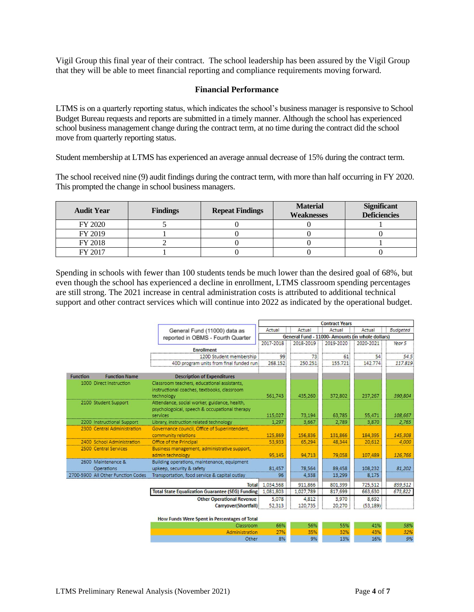Vigil Group this final year of their contract. The school leadership has been assured by the Vigil Group that they will be able to meet financial reporting and compliance requirements moving forward.

### **Financial Performance**

LTMS is on a quarterly reporting status, which indicates the school's business manager is responsive to School Budget Bureau requests and reports are submitted in a timely manner. Although the school has experienced school business management change during the contract term, at no time during the contract did the school move from quarterly reporting status.

Student membership at LTMS has experienced an average annual decrease of 15% during the contract term.

The school received nine (9) audit findings during the contract term, with more than half occurring in FY 2020. This prompted the change in school business managers.

| <b>Audit Year</b> | <b>Findings</b> | <b>Repeat Findings</b> | <b>Material</b><br><b>Weaknesses</b> | <b>Significant</b><br><b>Deficiencies</b> |
|-------------------|-----------------|------------------------|--------------------------------------|-------------------------------------------|
| FY 2020           |                 |                        |                                      |                                           |
| FY 2019           |                 |                        |                                      |                                           |
| FY 2018           |                 |                        |                                      |                                           |
| FY 2017           |                 |                        |                                      |                                           |

Spending in schools with fewer than 100 students tends be much lower than the desired goal of 68%, but even though the school has experienced a decline in enrollment, LTMS classroom spending percentages are still strong. The 2021 increase in central administration costs is attributed to additional technical support and other contract services which will continue into 2022 as indicated by the operational budget.

|                 |                                    |                                                          | <b>Contract Years</b>                |           |           |                                                  |         |
|-----------------|------------------------------------|----------------------------------------------------------|--------------------------------------|-----------|-----------|--------------------------------------------------|---------|
|                 |                                    | General Fund (11000) data as                             | Actual<br>Actual<br>Actual<br>Actual |           |           | <b>Budgeted</b>                                  |         |
|                 |                                    | reported in OBMS - Fourth Quarter                        |                                      |           |           | General Fund - 11000- Amounts (in whole dollars) |         |
|                 |                                    |                                                          | 2017-2018                            | 2018-2019 | 2019-2020 | 2020-2021                                        | Year 5  |
|                 |                                    | <b>Enrollment</b>                                        |                                      |           |           |                                                  |         |
|                 |                                    | 120D Student membership                                  | 99                                   | 73        | 61        | 54                                               | 54.5    |
|                 |                                    | 40D program units from final funded run                  | 268.152                              | 250.251   | 155.721   | 142.774                                          | 117.819 |
| <b>Function</b> | <b>Function Name</b>               | <b>Description of Expenditures</b>                       |                                      |           |           |                                                  |         |
|                 | 1000 Direct Instruction            | Classroom teachers, educational assistants,              |                                      |           |           |                                                  |         |
|                 |                                    | instructional coaches, textbooks, classroom              |                                      |           |           |                                                  |         |
|                 |                                    | technology                                               | 561.743                              | 435,260   | 372,802   | 237,267                                          | 390,804 |
|                 | 2100 Student Support               | Attendance, social worker, guidance, health,             |                                      |           |           |                                                  |         |
|                 |                                    | psychologoical, speech & occupational therapy            |                                      |           |           |                                                  |         |
|                 |                                    | services                                                 | 115,027                              | 73.194    | 63.785    | 55.471                                           | 108,667 |
|                 | 2200 Instructional Support         | Library, instruction related technology                  | 1.297                                | 3.667     | 2.789     | 3.870                                            | 2,765   |
|                 | 2300 Central Administration        | Governance council, Office of Superintendent,            |                                      |           |           |                                                  |         |
|                 |                                    | community relations                                      | 125,869                              | 156,836   | 131,866   | 184.395                                          | 145,308 |
|                 | 2400 School Administration         | Office of the Principal                                  | 53,933                               | 65,294    | 48,344    | 20,612                                           | 4,000   |
|                 | 2500 Central Services              | Business management, administrative support,             |                                      |           |           |                                                  |         |
|                 |                                    | admin technology                                         | 95.145                               | 94.713    | 79,058    | 107.489                                          | 126,766 |
|                 | 2600 Maintenance &                 | Building operations, maintenance, equipment              |                                      |           |           |                                                  |         |
|                 | Operations                         | upkeep, security & safety                                | 81,457                               | 78,564    | 89,458    | 108,232                                          | 81,202  |
|                 | 2700-5900 All Other Function Codes | Transportation, food service & capital outlay            | 96                                   | 4,338     | 13,299    | 8,175                                            |         |
|                 |                                    |                                                          | Total: 1.034,568                     | 911,866   | 801,399   | 725.512                                          | 859,512 |
|                 |                                    | <b>Total State Equalization Guarantee (SEG) Funding:</b> | 1,081,803                            | 1,027,789 | 817,699   | 663,630                                          | 673,822 |
|                 |                                    | <b>Other Operational Revenue</b>                         | 5.078                                | 4.812     | 3,970     | 8,692                                            |         |
|                 |                                    | Carryover(Shortfall)                                     | 52,313                               | 120,735   | 20,270    | (53, 189)                                        |         |
|                 |                                    |                                                          |                                      |           |           |                                                  |         |
|                 |                                    | How Funds Were Spent in Percentages of Total             |                                      |           |           |                                                  |         |
|                 |                                    | Classroom                                                | 66%                                  | 56%       | 55%       | 41%                                              | 58%     |
|                 |                                    | Administration                                           | 27%                                  | 35%       | 20%       | 43%                                              | 22%     |

8%

Other

9%

13%

16%

9%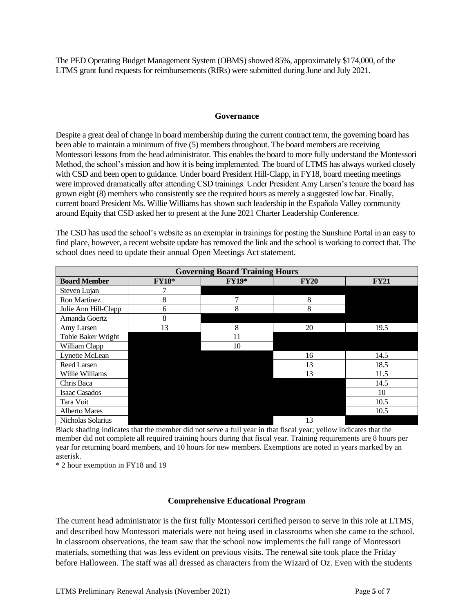The PED Operating Budget Management System (OBMS) showed 85%, approximately \$174,000, of the LTMS grant fund requests for reimbursements (RfRs) were submitted during June and July 2021.

### **Governance**

Despite a great deal of change in board membership during the current contract term, the governing board has been able to maintain a minimum of five (5) members throughout. The board members are receiving Montessori lessons from the head administrator. This enables the board to more fully understand the Montessori Method, the school's mission and how it is being implemented. The board of LTMS has always worked closely with CSD and been open to guidance. Under board President Hill-Clapp, in FY18, board meeting meetings were improved dramatically after attending CSD trainings. Under President Amy Larsen's tenure the board has grown eight (8) members who consistently see the required hours as merely a suggested low bar. Finally, current board President Ms. Willie Williams has shown such leadership in the Española Valley community around Equity that CSD asked her to present at the June 2021 Charter Leadership Conference.

The CSD has used the school's website as an exemplar in trainings for posting the Sunshine Portal in an easy to find place, however, a recent website update has removed the link and the school is working to correct that. The school does need to update their annual Open Meetings Act statement.

| <b>Governing Board Training Hours</b> |              |              |             |             |  |  |
|---------------------------------------|--------------|--------------|-------------|-------------|--|--|
| <b>Board Member</b>                   | <b>FY18*</b> | <b>FY19*</b> | <b>FY20</b> | <b>FY21</b> |  |  |
| Steven Lujan                          |              |              |             |             |  |  |
| Ron Martinez                          | 8            |              | 8           |             |  |  |
| Julie Ann Hill-Clapp                  | 6            | 8            | 8           |             |  |  |
| Amanda Goertz                         | 8            |              |             |             |  |  |
| Amy Larsen                            | 13           | 8            | 20          | 19.5        |  |  |
| Tobie Baker Wright                    |              | 11           |             |             |  |  |
| William Clapp                         |              | 10           |             |             |  |  |
| Lynette McLean                        |              |              | 16          | 14.5        |  |  |
| Reed Larsen                           |              |              | 13          | 18.5        |  |  |
| Willie Williams                       |              |              | 13          | 11.5        |  |  |
| Chris Baca                            |              |              |             | 14.5        |  |  |
| <b>Isaac Casados</b>                  |              |              |             | 10          |  |  |
| Tara Voit                             |              |              |             | 10.5        |  |  |
| <b>Alberto Mares</b>                  |              |              |             | 10.5        |  |  |
| Nicholas Solarius                     |              |              | 13          |             |  |  |

Black shading indicates that the member did not serve a full year in that fiscal year; yellow indicates that the member did not complete all required training hours during that fiscal year. Training requirements are 8 hours per year for returning board members, and 10 hours for new members. Exemptions are noted in years marked by an asterisk.

\* 2 hour exemption in FY18 and 19

### **Comprehensive Educational Program**

The current head administrator is the first fully Montessori certified person to serve in this role at LTMS, and described how Montessori materials were not being used in classrooms when she came to the school. In classroom observations, the team saw that the school now implements the full range of Montessori materials, something that was less evident on previous visits. The renewal site took place the Friday before Halloween. The staff was all dressed as characters from the Wizard of Oz. Even with the students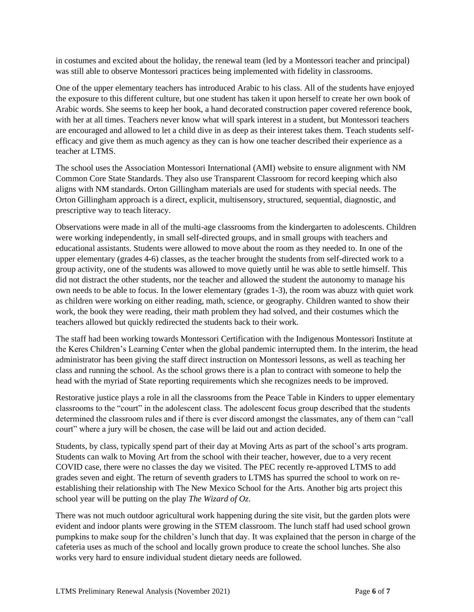in costumes and excited about the holiday, the renewal team (led by a Montessori teacher and principal) was still able to observe Montessori practices being implemented with fidelity in classrooms.

One of the upper elementary teachers has introduced Arabic to his class. All of the students have enjoyed the exposure to this different culture, but one student has taken it upon herself to create her own book of Arabic words. She seems to keep her book, a hand decorated construction paper covered reference book, with her at all times. Teachers never know what will spark interest in a student, but Montessori teachers are encouraged and allowed to let a child dive in as deep as their interest takes them. Teach students selfefficacy and give them as much agency as they can is how one teacher described their experience as a teacher at LTMS.

The school uses the Association Montessori International (AMI) website to ensure alignment with NM Common Core State Standards. They also use Transparent Classroom for record keeping which also aligns with NM standards. Orton Gillingham materials are used for students with special needs. The Orton Gillingham approach is a direct, explicit, multisensory, structured, sequential, diagnostic, and prescriptive way to teach literacy.

Observations were made in all of the multi-age classrooms from the kindergarten to adolescents. Children were working independently, in small self-directed groups, and in small groups with teachers and educational assistants. Students were allowed to move about the room as they needed to. In one of the upper elementary (grades 4-6) classes, as the teacher brought the students from self-directed work to a group activity, one of the students was allowed to move quietly until he was able to settle himself. This did not distract the other students, nor the teacher and allowed the student the autonomy to manage his own needs to be able to focus. In the lower elementary (grades 1-3), the room was abuzz with quiet work as children were working on either reading, math, science, or geography. Children wanted to show their work, the book they were reading, their math problem they had solved, and their costumes which the teachers allowed but quickly redirected the students back to their work.

The staff had been working towards Montessori Certification with the Indigenous Montessori Institute at the Keres Children's Learning Center when the global pandemic interrupted them. In the interim, the head administrator has been giving the staff direct instruction on Montessori lessons, as well as teaching her class and running the school. As the school grows there is a plan to contract with someone to help the head with the myriad of State reporting requirements which she recognizes needs to be improved.

Restorative justice plays a role in all the classrooms from the Peace Table in Kinders to upper elementary classrooms to the "court" in the adolescent class. The adolescent focus group described that the students determined the classroom rules and if there is ever discord amongst the classmates, any of them can "call court" where a jury will be chosen, the case will be laid out and action decided.

Students, by class, typically spend part of their day at Moving Arts as part of the school's arts program. Students can walk to Moving Art from the school with their teacher, however, due to a very recent COVID case, there were no classes the day we visited. The PEC recently re-approved LTMS to add grades seven and eight. The return of seventh graders to LTMS has spurred the school to work on reestablishing their relationship with The New Mexico School for the Arts. Another big arts project this school year will be putting on the play *The Wizard of Oz*.

There was not much outdoor agricultural work happening during the site visit, but the garden plots were evident and indoor plants were growing in the STEM classroom. The lunch staff had used school grown pumpkins to make soup for the children's lunch that day. It was explained that the person in charge of the cafeteria uses as much of the school and locally grown produce to create the school lunches. She also works very hard to ensure individual student dietary needs are followed.